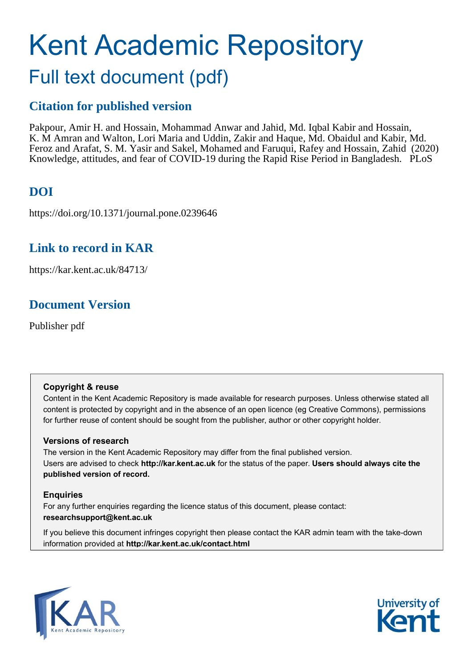# Kent Academic Repository Full text document (pdf)

# **Citation for published version**

Pakpour, Amir H. and Hossain, Mohammad Anwar and Jahid, Md. Iqbal Kabir and Hossain, K. M Amran and Walton, Lori Maria and Uddin, Zakir and Haque, Md. Obaidul and Kabir, Md. Feroz and Arafat, S. M. Yasir and Sakel, Mohamed and Faruqui, Rafey and Hossain, Zahid (2020) Knowledge, attitudes, and fear of COVID-19 during the Rapid Rise Period in Bangladesh. PLoS

# **DOI**

https://doi.org/10.1371/journal.pone.0239646

# **Link to record in KAR**

https://kar.kent.ac.uk/84713/

# **Document Version**

Publisher pdf

# **Copyright & reuse**

Content in the Kent Academic Repository is made available for research purposes. Unless otherwise stated all content is protected by copyright and in the absence of an open licence (eg Creative Commons), permissions for further reuse of content should be sought from the publisher, author or other copyright holder.

# **Versions of research**

The version in the Kent Academic Repository may differ from the final published version. Users are advised to check **http://kar.kent.ac.uk** for the status of the paper. **Users should always cite the published version of record.**

# **Enquiries**

For any further enquiries regarding the licence status of this document, please contact: **researchsupport@kent.ac.uk**

If you believe this document infringes copyright then please contact the KAR admin team with the take-down information provided at **http://kar.kent.ac.uk/contact.html**



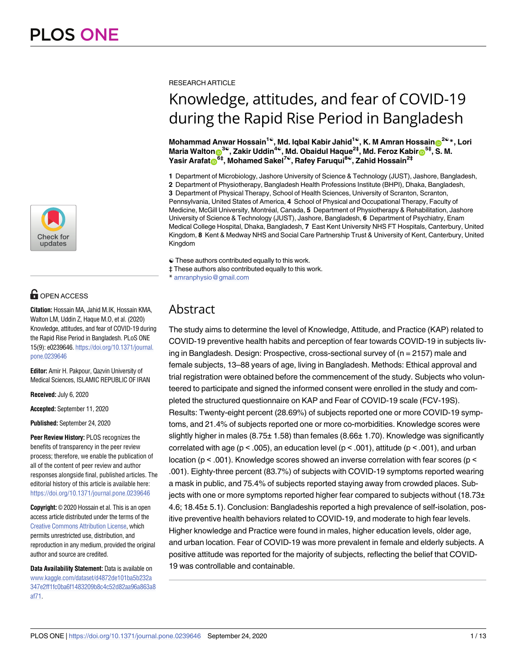

# **G** OPEN ACCESS

**Citation:** Hossain MA, Jahid M.IK, Hossain KMA, Walton LM, Uddin Z, Haque M.O, et al. (2020) Knowledge, attitudes, and fear of COVID-19 during the Rapid Rise Period in Bangladesh. PLoS ONE 15(9): e0239646. [https://doi.org/10.1371/journal.](https://doi.org/10.1371/journal.pone.0239646) [pone.0239646](https://doi.org/10.1371/journal.pone.0239646)

**Editor:** Amir H. Pakpour, Qazvin University of Medical Sciences, ISLAMIC REPUBLIC OF IRAN

**Received:** July 6, 2020

**Accepted:** September 11, 2020

**Published:** September 24, 2020

**Peer Review History:** PLOS recognizes the benefits of transparency in the peer review process; therefore, we enable the publication of all of the content of peer review and author responses alongside final, published articles. The editorial history of this article is available here: <https://doi.org/10.1371/journal.pone.0239646>

**Copyright:** © 2020 Hossain et al. This is an open access article distributed under the terms of the Creative Commons [Attribution](http://creativecommons.org/licenses/by/4.0/) License, which permits unrestricted use, distribution, and reproduction in any medium, provided the original author and source are credited.

**Data Availability Statement:** Data is available on [www.kaggle.com/dataset/d4872de101ba5b232a](http://www.kaggle.com/dataset/d4872de101ba5b232a347e2ff1fc0ba6f1483209b8c4c52d82aa96a863a8af71) [347e2ff1fc0ba6f1483209b8c4c52d82aa96a863a8](http://www.kaggle.com/dataset/d4872de101ba5b232a347e2ff1fc0ba6f1483209b8c4c52d82aa96a863a8af71) [af71](http://www.kaggle.com/dataset/d4872de101ba5b232a347e2ff1fc0ba6f1483209b8c4c52d82aa96a863a8af71).

#### RESEARCH ARTICLE

# Knowledge, attitudes, and fear of COVID-19 during the Rapid Rise Period in Bangladesh

**Mohammad Anwar Hossain1**☯**, Md. Iqbal Kabir Jahid1**☯**, K. M Amran Hossai[nID](http://orcid.org/0000-0003-2124-2087)2**☯**\*, Lori**  $M$ aria Walton $\bullet$ <sup>3©</sup>, Zakir Uddin<sup>4©</sup>, Md. Obaidul Haque<sup>2‡</sup>, Md. Feroz Kabir $\bullet$ 6<sup>5‡</sup>, S. M. **Yasir Arafa[tID](http://orcid.org/0000-0003-0521-5708)6‡, Mohamed Sakel7**☯**, Rafey Faruqui8**☯**, Zahid Hossain2‡**

**1** Department of Microbiology, Jashore University of Science & Technology (JUST), Jashore, Bangladesh,

**2** Department of Physiotherapy, Bangladesh Health Professions Institute (BHPI), Dhaka, Bangladesh,

**3** Department of Physical Therapy, School of Health Sciences, University of Scranton, Scranton, Pennsylvania, United States of America, **4** School of Physical and Occupational Therapy, Faculty of

Medicine, McGill University, Montréal, Canada, 5 Department of Physiotherapy & Rehabilitation, Jashore University of Science & Technology (JUST), Jashore, Bangladesh, **6** Department of Psychiatry, Enam Medical College Hospital, Dhaka, Bangladesh, **7** East Kent University NHS FT Hospitals, Canterbury, United Kingdom, **8** Kent & Medway NHS and Social Care Partnership Trust & University of Kent, Canterbury, United Kingdom

☯ These authors contributed equally to this work.

‡ These authors also contributed equally to this work.

\* amranphysio@gmail.com

# Abstract

The study aims to determine the level of Knowledge, Attitude, and Practice (KAP) related to COVID-19 preventive health habits and perception of fear towards COVID-19 in subjects living in Bangladesh. Design: Prospective, cross-sectional survey of (n = 2157) male and female subjects, 13–88 years of age, living in Bangladesh. Methods: Ethical approval and trial registration were obtained before the commencement of the study. Subjects who volunteered to participate and signed the informed consent were enrolled in the study and completed the structured questionnaire on KAP and Fear of COVID-19 scale (FCV-19S). Results: Twenty-eight percent (28.69%) of subjects reported one or more COVID-19 symptoms, and 21.4% of subjects reported one or more co-morbidities. Knowledge scores were slightly higher in males  $(8.75 \pm 1.58)$  than females  $(8.66 \pm 1.70)$ . Knowledge was significantly correlated with age ( $p < .005$ ), an education level ( $p < .001$ ), attitude ( $p < .001$ ), and urban location ( $p < .001$ ). Knowledge scores showed an inverse correlation with fear scores ( $p <$ .001). Eighty-three percent (83.7%) of subjects with COVID-19 symptoms reported wearing a mask in public, and 75.4% of subjects reported staying away from crowded places. Subjects with one or more symptoms reported higher fear compared to subjects without  $(18.73<sub>±</sub>)$ 4.6; 18.45± 5.1). Conclusion: Bangladeshis reported a high prevalence of self-isolation, positive preventive health behaviors related to COVID-19, and moderate to high fear levels. Higher knowledge and Practice were found in males, higher education levels, older age, and urban location. Fear of COVID-19 was more prevalent in female and elderly subjects. A positive attitude was reported for the majority of subjects, reflecting the belief that COVID-19 was controllable and containable.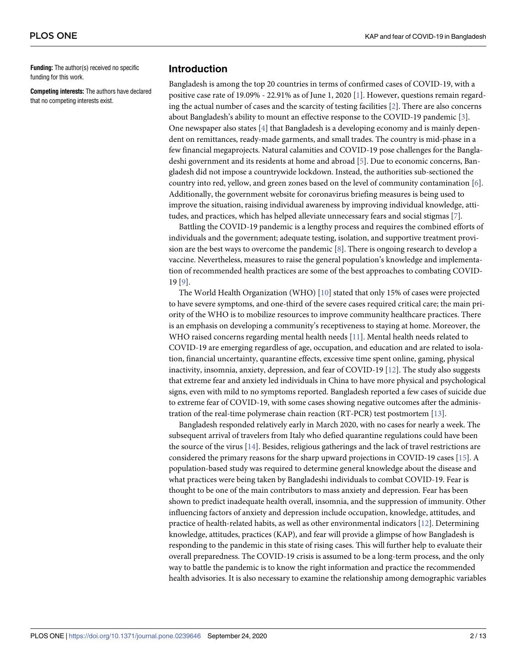**Funding:** The author(s) received no specific funding for this work.

**Competing interests:** The authors have declared that no competing interests exist.

# **Introduction**

Bangladesh is among the top 20 countries in terms of confirmed cases of COVID-19, with a positive case rate of 19.09% - 22.91% as of June 1, 2020 [1]. However, questions remain regarding the actual number of cases and the scarcity of testing facilities [2]. There are also concerns about Bangladesh's ability to mount an effective response to the COVID-19 pandemic [3]. One newspaper also states [4] that Bangladesh is a developing economy and is mainly dependent on remittances, ready-made garments, and small trades. The country is mid-phase in a few financial megaprojects. Natural calamities and COVID-19 pose challenges for the Bangladeshi government and its residents at home and abroad [5]. Due to economic concerns, Bangladesh did not impose a countrywide lockdown. Instead, the authorities sub-sectioned the country into red, yellow, and green zones based on the level of community contamination [6]. Additionally, the government website for coronavirus briefing measures is being used to improve the situation, raising individual awareness by improving individual knowledge, attitudes, and practices, which has helped alleviate unnecessary fears and social stigmas [7].

Battling the COVID-19 pandemic is a lengthy process and requires the combined efforts of individuals and the government; adequate testing, isolation, and supportive treatment provision are the best ways to overcome the pandemic [8]. There is ongoing research to develop a vaccine. Nevertheless, measures to raise the general population's knowledge and implementation of recommended health practices are some of the best approaches to combating COVID-19 [9].

The World Health Organization (WHO) [10] stated that only 15% of cases were projected to have severe symptoms, and one-third of the severe cases required critical care; the main priority of the WHO is to mobilize resources to improve community healthcare practices. There is an emphasis on developing a community's receptiveness to staying at home. Moreover, the WHO raised concerns regarding mental health needs [11]. Mental health needs related to COVID-19 are emerging regardless of age, occupation, and education and are related to isolation, financial uncertainty, quarantine effects, excessive time spent online, gaming, physical inactivity, insomnia, anxiety, depression, and fear of COVID-19 [12]. The study also suggests that extreme fear and anxiety led individuals in China to have more physical and psychological signs, even with mild to no symptoms reported. Bangladesh reported a few cases of suicide due to extreme fear of COVID-19, with some cases showing negative outcomes after the administration of the real-time polymerase chain reaction (RT-PCR) test postmortem [13].

Bangladesh responded relatively early in March 2020, with no cases for nearly a week. The subsequent arrival of travelers from Italy who defied quarantine regulations could have been the source of the virus [14]. Besides, religious gatherings and the lack of travel restrictions are considered the primary reasons for the sharp upward projections in COVID-19 cases [15]. A population-based study was required to determine general knowledge about the disease and what practices were being taken by Bangladeshi individuals to combat COVID-19. Fear is thought to be one of the main contributors to mass anxiety and depression. Fear has been shown to predict inadequate health overall, insomnia, and the suppression of immunity. Other influencing factors of anxiety and depression include occupation, knowledge, attitudes, and practice of health-related habits, as well as other environmental indicators [12]. Determining knowledge, attitudes, practices (KAP), and fear will provide a glimpse of how Bangladesh is responding to the pandemic in this state of rising cases. This will further help to evaluate their overall preparedness. The COVID-19 crisis is assumed to be a long-term process, and the only way to battle the pandemic is to know the right information and practice the recommended health advisories. It is also necessary to examine the relationship among demographic variables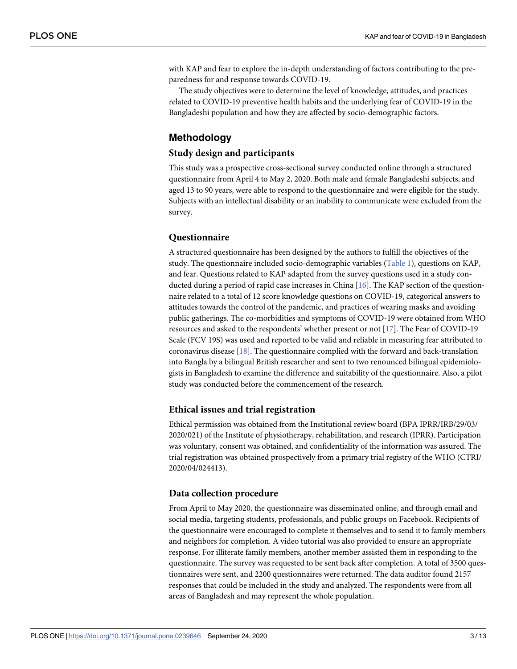with KAP and fear to explore the in-depth understanding of factors contributing to the preparedness for and response towards COVID-19.

The study objectives were to determine the level of knowledge, attitudes, and practices related to COVID-19 preventive health habits and the underlying fear of COVID-19 in the Bangladeshi population and how they are affected by socio-demographic factors.

# **Methodology**

# **Study design and participants**

This study was a prospective cross-sectional survey conducted online through a structured questionnaire from April 4 to May 2, 2020. Both male and female Bangladeshi subjects, and aged 13 to 90 years, were able to respond to the questionnaire and were eligible for the study. Subjects with an intellectual disability or an inability to communicate were excluded from the survey.

# **Questionnaire**

A structured questionnaire has been designed by the authors to fulfill the objectives of the study. The questionnaire included socio-demographic variables (Table 1), questions on KAP, and fear. Questions related to KAP adapted from the survey questions used in a study conducted during a period of rapid case increases in China [16]. The KAP section of the questionnaire related to a total of 12 score knowledge questions on COVID-19, categorical answers to attitudes towards the control of the pandemic, and practices of wearing masks and avoiding public gatherings. The co-morbidities and symptoms of COVID-19 were obtained from WHO resources and asked to the respondents' whether present or not [17]. The Fear of COVID-19 Scale (FCV 19S) was used and reported to be valid and reliable in measuring fear attributed to coronavirus disease [18]. The questionnaire complied with the forward and back-translation into Bangla by a bilingual British researcher and sent to two renounced bilingual epidemiologists in Bangladesh to examine the difference and suitability of the questionnaire. Also, a pilot study was conducted before the commencement of the research.

### **Ethical issues and trial registration**

Ethical permission was obtained from the Institutional review board (BPA IPRR/IRB/29/03/ 2020/021) of the Institute of physiotherapy, rehabilitation, and research (IPRR). Participation was voluntary, consent was obtained, and confidentiality of the information was assured. The trial registration was obtained prospectively from a primary trial registry of the WHO (CTRI/ 2020/04/024413).

### **Data collection procedure**

From April to May 2020, the questionnaire was disseminated online, and through email and social media, targeting students, professionals, and public groups on Facebook. Recipients of the questionnaire were encouraged to complete it themselves and to send it to family members and neighbors for completion. A video tutorial was also provided to ensure an appropriate response. For illiterate family members, another member assisted them in responding to the questionnaire. The survey was requested to be sent back after completion. A total of 3500 questionnaires were sent, and 2200 questionnaires were returned. The data auditor found 2157 responses that could be included in the study and analyzed. The respondents were from all areas of Bangladesh and may represent the whole population.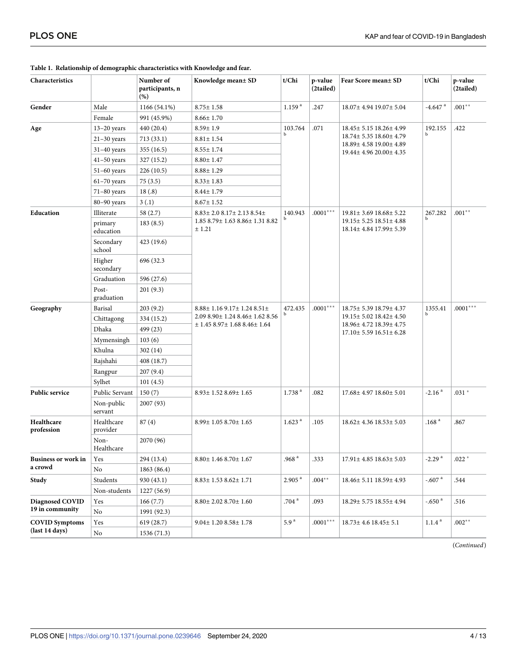| Characteristics                       |                        | Number of<br>participants, n<br>(%) | Knowledge mean± SD                          | t/Chi                | p-value<br>(2tailed) | Fear Score mean± SD                                          | t/Chi                 | p-value<br>(2tailed) |
|---------------------------------------|------------------------|-------------------------------------|---------------------------------------------|----------------------|----------------------|--------------------------------------------------------------|-----------------------|----------------------|
| Gender                                | Male                   | 1166 (54.1%)                        | $8.75 \pm 1.58$                             | 1.159 <sup>a</sup>   | .247                 | 18.07± 4.94 19.07± 5.04                                      | $-4.647$ <sup>a</sup> | $.001**$             |
|                                       | Female                 | 991 (45.9%)                         | $8.66 \pm 1.70$                             |                      |                      |                                                              |                       |                      |
| Age                                   | $13-20$ years          | 440 (20.4)                          | $8.59 \pm 1.9$                              | 103.764              | .071                 | 18.45 ± 5.15 18.26 ± 4.99                                    | 192.155<br>b          | .422                 |
|                                       | $21-30$ years          | 713(33.1)                           | $8.81 \pm 1.54$                             | $\mathbf{h}$         |                      | 18.74± 5.35 18.60± 4.79                                      |                       |                      |
|                                       | $31-40$ years          | 355(16.5)                           | $8.55 \pm 1.74$                             |                      |                      | 18.89± 4.58 19.00± 4.89<br>19.44± 4.96 20.00± 4.35           |                       |                      |
|                                       | $41-50$ years          | 327(15.2)                           | $8.80 \pm 1.47$                             |                      |                      |                                                              |                       |                      |
|                                       | $51-60$ years          | 226(10.5)                           | $8.88 \pm 1.29$                             |                      |                      |                                                              |                       |                      |
|                                       | $61-70$ years          | 75(3.5)                             | $8.33 \pm 1.83$                             |                      |                      |                                                              |                       |                      |
|                                       | $71-80$ years          | 18(.8)                              | $8.44 \pm 1.79$                             |                      |                      |                                                              |                       |                      |
|                                       | 80-90 years            | 3(.1)                               | $8.67 \pm 1.52$                             |                      |                      |                                                              |                       |                      |
| Education                             | Illiterate             | 58 (2.7)                            | $8.83 \pm 2.08.17 \pm 2.138.54 \pm$         | 140.943              | $.0001***$           | 19.81± 3.69 18.68± 5.22                                      | 267.282               | $.001**$             |
|                                       | primary<br>education   | 183(8.5)                            | 1.85 8.79 ± 1.63 8.86 ± 1.31 8.82<br>± 1.21 |                      |                      | 19.15 ± 5.25 18.51 ± 4.88<br>18.14± 4.84 17.99± 5.39         | ь                     |                      |
|                                       | Secondary<br>school    | 423 (19.6)                          |                                             |                      |                      |                                                              |                       |                      |
|                                       | Higher<br>secondary    | 696 (32.3                           |                                             |                      |                      |                                                              |                       |                      |
|                                       | Graduation             | 596 (27.6)                          |                                             |                      |                      |                                                              |                       |                      |
|                                       | Post-<br>graduation    | 201(9.3)                            |                                             |                      |                      |                                                              |                       |                      |
| Geography                             | Barisal                | 203(9.2)                            | 8.88± 1.16 9.17± 1.24 8.51±                 | 472.435              | $.0001***$           | 18.75± 5.39 18.79± 4.37                                      | 1355.41               | $.0001***$           |
|                                       | Chittagong             | 334 (15.2)                          | 2.09 8.90 ± 1.24 8.46 ± 1.62 8.56           |                      |                      | 19.15 ± 5.02 18.42 ± 4.50                                    |                       |                      |
|                                       | Dhaka                  | 499 (23)                            | $\pm$ 1.45 8.97 $\pm$ 1.68 8.46 $\pm$ 1.64  |                      |                      | 18.96± 4.72 18.39± 4.75<br>$17.10 \pm 5.59$ $16.51 \pm 6.28$ |                       |                      |
|                                       | Mymensingh             | 103(6)                              |                                             |                      |                      |                                                              |                       |                      |
|                                       | Khulna                 | 302(14)                             |                                             |                      |                      |                                                              |                       |                      |
|                                       | Rajshahi               | 408 (18.7)                          |                                             |                      |                      |                                                              |                       |                      |
|                                       | Rangpur                | 207(9.4)                            |                                             |                      |                      |                                                              |                       |                      |
|                                       | Sylhet                 | 101(4.5)                            |                                             |                      |                      |                                                              |                       |                      |
| Public service                        | Public Servant         | 150(7)                              | $8.93 \pm 1.52$ $8.69 \pm 1.65$             | 1.738 <sup>a</sup>   | .082                 | $17.68 \pm 4.97$ $18.60 \pm 5.01$                            | $-2.16$ <sup>a</sup>  | $.031 *$             |
|                                       | Non-public<br>servant  | 2007 (93)                           |                                             |                      |                      |                                                              |                       |                      |
| Healthcare<br>profession              | Healthcare<br>provider | 87(4)                               | $8.99 \pm 1.058.70 \pm 1.65$                | 1.623 <sup>a</sup>   | .105                 | 18.62± 4.36 18.53± 5.03                                      | .168 $a$              | .867                 |
|                                       | Non-<br>Healthcare     | 2070 (96)                           |                                             |                      |                      |                                                              |                       |                      |
| <b>Business or work in</b><br>a crowd | Yes                    | 294 (13.4)                          | $8.80 \pm 1.46$ $8.70 \pm 1.67$             | .968 $a$             | .333                 | $17.91 \pm 4.85$ $18.63 \pm 5.03$                            | $-2.29$ <sup>a</sup>  | $.022 *$             |
|                                       | No                     | 1863 (86.4)                         |                                             |                      |                      |                                                              |                       |                      |
| Study                                 | Students               | 930 (43.1)                          | $8.83 \pm 1.53862 \pm 1.71$                 | $2.905$ <sup>a</sup> | $.004***$            | 18.46± 5.11 18.59± 4.93                                      | -.607 $^{\rm a}$      | .544                 |
|                                       | Non-students           | 1227 (56.9)                         |                                             |                      |                      |                                                              |                       |                      |
| Diagnosed COVID                       | Yes                    | 166(7.7)                            | $8.80 \pm 2.028.70 \pm 1.60$                | .704 <sup>a</sup>    | .093                 | 18.29± 5.75 18.55± 4.94                                      | $-.650a$              | .516                 |
| 19 in community                       | No                     | 1991 (92.3)                         |                                             |                      |                      |                                                              |                       |                      |
| <b>COVID Symptoms</b>                 | Yes                    | 619 (28.7)                          | $9.04 \pm 1.208.58 \pm 1.78$                | 5.9 <sup>a</sup>     | $.0001***$           | $18.73 \pm 4.6$ $18.45 \pm 5.1$                              | $1.1.4$ $^{\rm a}$    | $.002**$             |
| (last 14 days)                        | $\rm No$               | 1536 (71.3)                         |                                             |                      |                      |                                                              |                       |                      |

#### **Table 1. Relationship of demographic characteristics with Knowledge and fear.**

(*Continued*)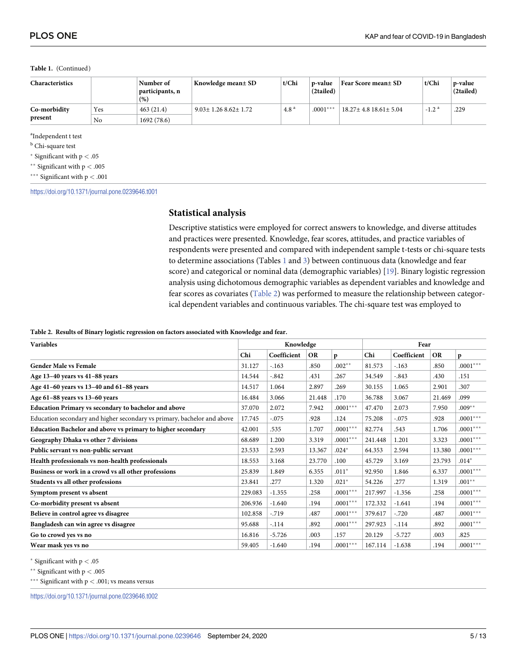#### **Table 1.** (Continued)

| Characteristics |     | Number of<br>  participants, n<br>(% ) | Knowledge mean± SD          | t/Chi            | n-value<br>(2tailed) | Fear Score mean± SD              | t/Chi               | p-value<br>(2tailed) |
|-----------------|-----|----------------------------------------|-----------------------------|------------------|----------------------|----------------------------------|---------------------|----------------------|
| Co-morbidity    | Yes | 463(21.4)                              | $9.03 \pm 1.26862 \pm 1.72$ | 4.8 <sup>a</sup> | $.0001***$           | $18.27 \pm 4.8$ $18.61 \pm 5.04$ | $-1.2$ <sup>a</sup> | .229                 |
| present         | No  | 1692(78.6)                             |                             |                  |                      |                                  |                     |                      |

a Independent t test

**b** Chi-square test

� Significant with p *<* .05

�� Significant with p *<* .005

��� Significant with p *<* .001

<https://doi.org/10.1371/journal.pone.0239646.t001>

### **Statistical analysis**

Descriptive statistics were employed for correct answers to knowledge, and diverse attitudes and practices were presented. Knowledge, fear scores, attitudes, and practice variables of respondents were presented and compared with independent sample t-tests or chi-square tests to determine associations (Tables  $1$  and  $3$ ) between continuous data (knowledge and fear score) and categorical or nominal data (demographic variables) [19]. Binary logistic regression analysis using dichotomous demographic variables as dependent variables and knowledge and fear scores as covariates (Table 2) was performed to measure the relationship between categorical dependent variables and continuous variables. The chi-square test was employed to

#### **Table 2. Results of Binary logistic regression on factors associated with Knowledge and fear.**

| <b>Variables</b>                                                        |         | Knowledge   |           |            | Fear    |             |           |            |
|-------------------------------------------------------------------------|---------|-------------|-----------|------------|---------|-------------|-----------|------------|
|                                                                         | Chi     | Coefficient | <b>OR</b> | p          | Chi     | Coefficient | <b>OR</b> | p          |
| <b>Gender Male vs Female</b>                                            | 31.127  | $-.163$     | .850      | $.002**$   | 81.573  | $-163$      | .850      | $.0001***$ |
| Age 13-40 years vs 41-88 years                                          | 14.544  | $-.842$     | .431      | .267       | 34.549  | $-0.843$    | .430      | .151       |
| Age 41-60 years vs 13-40 and 61-88 years                                | 14.517  | 1.064       | 2.897     | .269       | 30.155  | 1.065       | 2.901     | .307       |
| Age 61-88 years vs 13-60 years                                          | 16.484  | 3.066       | 21.448    | .170       | 36.788  | 3.067       | 21.469    | .099       |
| <b>Education Primary vs secondary to bachelor and above</b>             | 37.070  | 2.072       | 7.942     | $.0001***$ | 47.470  | 2.073       | 7.950     | $.009**$   |
| Education secondary and higher secondary vs primary, bachelor and above | 17.745  | $-.075$     | .928      | .124       | 75.208  | $-.075$     | .928      | $.0001***$ |
| Education Bachelor and above vs primary to higher secondary             | 42.001  | .535        | 1.707     | $.0001***$ | 82.774  | .543        | 1.706     | $.0001***$ |
| Geography Dhaka vs other 7 divisions                                    | 68.689  | 1.200       | 3.319     | $.0001***$ | 241.448 | 1.201       | 3.323     | $.0001***$ |
| Public servant vs non-public servant                                    | 23.533  | 2.593       | 13.367    | $.024*$    | 64.353  | 2.594       | 13.380    | $.0001***$ |
| Health professionals vs non-health professionals                        | 18.553  | 3.168       | 23.770    | .100       | 45.729  | 3.169       | 23.793    | $.014*$    |
| Business or work in a crowd vs all other professions                    | 25.839  | 1.849       | 6.355     | $.011*$    | 92.950  | 1.846       | 6.337     | $.0001***$ |
| Students vs all other professions                                       | 23.841  | .277        | 1.320     | $.021*$    | 54.226  | .277        | 1.319     | $.001**$   |
| Symptom present vs absent                                               | 229.083 | $-1.355$    | .258      | $.0001***$ | 217.997 | $-1.356$    | .258      | $.0001***$ |
| Co-morbidity present vs absent                                          | 206.936 | $-1.640$    | .194      | $.0001***$ | 172.332 | $-1.641$    | .194      | $.0001***$ |
| Believe in control agree vs disagree                                    | 102.858 | $-.719$     | .487      | $.0001***$ | 379.617 | $-.720$     | .487      | $.0001***$ |
| Bangladesh can win agree vs disagree                                    | 95.688  | $-.114$     | .892      | $.0001***$ | 297.923 | $-.114$     | .892      | $.0001***$ |
| Go to crowd yes vs no                                                   | 16.816  | $-5.726$    | .003      | .157       | 20.129  | $-5.727$    | .003      | .825       |
| Wear mask yes vs no                                                     | 59.405  | $-1.640$    | .194      | $.0001***$ | 167.114 | $-1.638$    | .194      | $.0001***$ |

� Significant with p *<* .05

�� Significant with p *<* .005

\*\*\* Significant with  $p < .001$ ; vs means versus

<https://doi.org/10.1371/journal.pone.0239646.t002>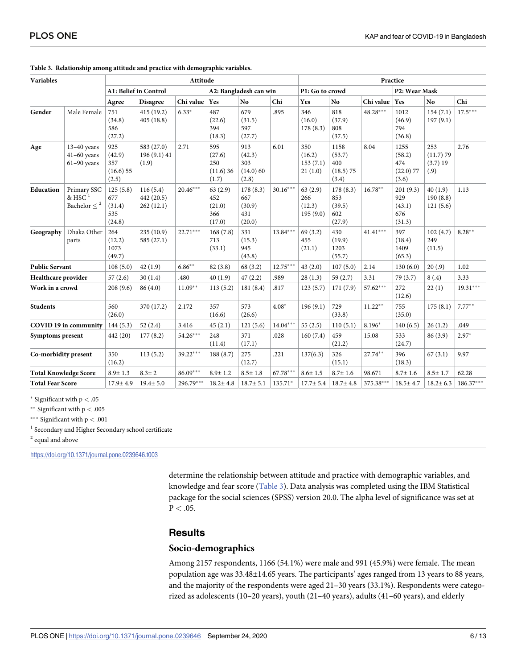| <b>Variables</b>             |                                                             | Attitude                                     |                                     |            |                                           |                                            |                                                |                                      | Practice                                      |            |                                               |                                       |             |  |
|------------------------------|-------------------------------------------------------------|----------------------------------------------|-------------------------------------|------------|-------------------------------------------|--------------------------------------------|------------------------------------------------|--------------------------------------|-----------------------------------------------|------------|-----------------------------------------------|---------------------------------------|-------------|--|
|                              |                                                             | A1: Belief in Control                        |                                     |            | A2: Bangladesh can win                    |                                            |                                                | P1: Go to crowd                      |                                               |            | P2: Wear Mask                                 |                                       |             |  |
|                              |                                                             | Agree                                        | <b>Disagree</b>                     | Chi value  | Yes                                       | No.                                        | Chi                                            | Yes                                  | No                                            | Chi value  | <b>Yes</b>                                    | N <sub>o</sub>                        | Chi         |  |
| Gender                       | Male Female                                                 | 751<br>(34.8)<br>586<br>(27.2)               | 415 (19.2)<br>405(18.8)             | $6.33*$    | 487<br>(22.6)<br>394<br>(18.3)            | 679<br>(31.5)<br>597<br>(27.7)             | .895                                           | 346<br>(16.0)<br>178(8.3)            | 818<br>(37.9)<br>808<br>(37.5)                | $48.28***$ | 1012<br>(46.9)<br>794<br>(36.8)               | 154(7.1)<br>197(9.1)                  | $17.5***$   |  |
| Age                          | $13-40$ years<br>$41-60$ years<br>$61-90$ years             | 925<br>(42.9)<br>357<br>$(16.6)$ 55<br>(2.5) | 583 (27.0)<br>196 (9.1) 41<br>(1.9) | 2.71       | 595<br>(27.6)<br>250<br>(11.6)36<br>(1.7) | 913<br>(42.3)<br>303<br>(14.0)60<br>(2.8)  | 6.01                                           | 350<br>(16.2)<br>153(7.1)<br>21(1.0) | 1158<br>(53.7)<br>400<br>$(18.5)$ 75<br>(3.4) | 8.04       | 1255<br>(58.2)<br>474<br>$(22.0)$ 77<br>(3.6) | 253<br>(11.7)79<br>$(3.7)$ 19<br>(.9) | 2.76        |  |
| Education                    | Primary SSC<br>$\&$ HSC <sup>1</sup><br>Bachelor $\leq{}^2$ | 125(5.8)<br>677<br>(31.4)<br>535<br>(24.8)   | 116(5.4)<br>442 (20.5)<br>262(12.1) | $20.46***$ | 63(2.9)<br>452<br>(21.0)<br>366<br>(17.0) | 178(8.3)<br>667<br>(30.9)<br>431<br>(20.0) | $30.16***$                                     | 63(2.9)<br>266<br>(12.3)<br>195(9.0) | 178(8.3)<br>853<br>(39.5)<br>602<br>(27.9)    | $16.78**$  | 201(9.3)<br>929<br>(43.1)<br>676<br>(31.3)    | 40(1.9)<br>190(8.8)<br>121(5.6)       | 1.13        |  |
| Geography                    | Dhaka Other<br>parts                                        | 264<br>(12.2)<br>1073<br>(49.7)              | 235(10.9)<br>585(27.1)              | $22.71***$ | 168(7.8)<br>713<br>(33.1)                 | 331<br>(15.3)<br>945<br>(43.8)             | $13.84***$                                     | 69(3.2)<br>455<br>(21.1)             | 430<br>(19.9)<br>1203<br>(55.7)               | $41.41***$ | 397<br>(18.4)<br>1409<br>(65.3)               | 102(4.7)<br>249<br>(11.5)             | $8.28**$    |  |
| <b>Public Servant</b>        |                                                             | 108(5.0)                                     | 42(1.9)                             | $6.86***$  | 82 (3.8)                                  | 68 (3.2)                                   | $12.75***$                                     | 43(2.0)                              | 107(5.0)                                      | 2.14       | 130(6.0)                                      | 20(.9)                                | 1.02        |  |
| Healthcare provider          |                                                             | 57(2.6)                                      | 30(1.4)                             | .480       | 40(1.9)                                   | 47(2.2)                                    | 3.31<br>.989<br>28(1.3)<br>59(2.7)<br>79 (3.7) |                                      | 8(.4)                                         | 3.33       |                                               |                                       |             |  |
| Work in a crowd              |                                                             | 208(9.6)                                     | 86(4.0)                             | $11.09**$  | 113(5.2)                                  | 181(8.4)                                   | .817                                           | 123(5.7)                             | 171(7.9)                                      | $57.62***$ | 272<br>(12.6)                                 | 22(1)                                 | $19.31***$  |  |
| <b>Students</b>              |                                                             | 560<br>(26.0)                                | 370 (17.2)                          | 2.172      | 357<br>(16.6)                             | 573<br>(26.6)                              | $4.08*$                                        | 196(9.1)                             | 729<br>(33.8)                                 | $11.22**$  | 755<br>(35.0)                                 | 175(8.1)                              | $7.77***$   |  |
| COVID 19 in community        |                                                             | 144(5.3)                                     | 52(2.4)                             | 3.416      | 45(2.1)                                   | 121(5.6)                                   | $14.04***$                                     | 55(2.5)                              | 110(5.1)                                      | $8.196*$   | 140(6.5)                                      | 26(1.2)                               | .049        |  |
| <b>Symptoms present</b>      |                                                             | 442 (20)                                     | 177(8.2)                            | $54.26***$ | 248<br>(11.4)                             | 371<br>(17.1)                              | .028                                           | 160(7.4)                             | 459<br>(21.2)                                 | 15.08      | 533<br>(24.7)                                 | 86 (3.9)                              | $2.97*$     |  |
| Co-morbidity present         |                                                             | 350<br>(16.2)                                | 113(5.2)                            | $39.22***$ | 188(8.7)                                  | 275<br>(12.7)                              | .221                                           | 137(6.3)                             | 326<br>(15.1)                                 | 27.74**    | 396<br>(18.3)                                 | 67(3.1)                               | 9.97        |  |
| <b>Total Knowledge Score</b> |                                                             | $8.9 \pm 1.3$                                | $8.3 \pm 2$                         | $86.09***$ | $8.9 \pm 1.2$                             | $8.5 \pm 1.8$                              | $67.78***$                                     | $8.6 \pm 1.5$                        | $8.7 \pm 1.6$                                 | 98.671     | $8.7 \pm 1.6$                                 | $8.5 \pm 1.7$                         | 62.28       |  |
| <b>Total Fear Score</b>      |                                                             | $17.9 \pm 4.9$                               | $19.4 \pm 5.0$                      | 296.79***  | $18.2 \pm 4.8$                            | $18.7 \pm 5.1$                             | 135.71*                                        | $17.7 \pm 5.4$                       | $18.7 \pm 4.8$                                | 375.38***  | $18.5 \pm 4.7$                                | $18.2 \pm 6.3$                        | $186.37***$ |  |

**Table 3. Relationship among attitude and practice with demographic variables.**

� Significant with p *<* .05

�� Significant with p *<* .005

��� Significant with p *<* .001

<sup>1</sup> Secondary and Higher Secondary school certificate <sup>2</sup> equal and above

<https://doi.org/10.1371/journal.pone.0239646.t003>

determine the relationship between attitude and practice with demographic variables, and knowledge and fear score (Table 3). Data analysis was completed using the IBM Statistical package for the social sciences (SPSS) version 20.0. The alpha level of significance was set at  $P < .05$ .

### **Results**

# **Socio-demographics**

Among 2157 respondents, 1166 (54.1%) were male and 991 (45.9%) were female. The mean population age was 33.48±14.65 years. The participants' ages ranged from 13 years to 88 years, and the majority of the respondents were aged 21–30 years (33.1%). Respondents were categorized as adolescents (10–20 years), youth (21–40 years), adults (41–60 years), and elderly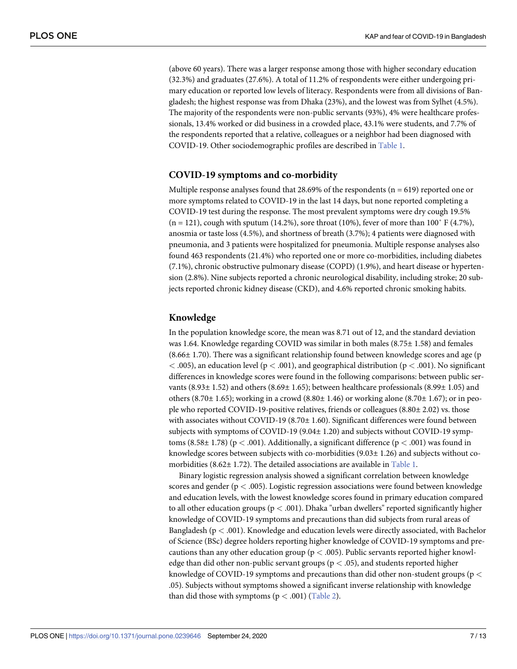(above 60 years). There was a larger response among those with higher secondary education (32.3%) and graduates (27.6%). A total of 11.2% of respondents were either undergoing primary education or reported low levels of literacy. Respondents were from all divisions of Bangladesh; the highest response was from Dhaka (23%), and the lowest was from Sylhet (4.5%). The majority of the respondents were non-public servants (93%), 4% were healthcare professionals, 13.4% worked or did business in a crowded place, 43.1% were students, and 7.7% of the respondents reported that a relative, colleagues or a neighbor had been diagnosed with COVID-19. Other sociodemographic profiles are described in Table 1.

#### **COVID-19 symptoms and co-morbidity**

Multiple response analyses found that 28.69% of the respondents ( $n = 619$ ) reported one or more symptoms related to COVID-19 in the last 14 days, but none reported completing a COVID-19 test during the response. The most prevalent symptoms were dry cough 19.5%  $(n = 121)$ , cough with sputum (14.2%), sore throat (10%), fever of more than 100° F (4.7%), anosmia or taste loss (4.5%), and shortness of breath (3.7%); 4 patients were diagnosed with pneumonia, and 3 patients were hospitalized for pneumonia. Multiple response analyses also found 463 respondents (21.4%) who reported one or more co-morbidities, including diabetes (7.1%), chronic obstructive pulmonary disease (COPD) (1.9%), and heart disease or hypertension (2.8%). Nine subjects reported a chronic neurological disability, including stroke; 20 subjects reported chronic kidney disease (CKD), and 4.6% reported chronic smoking habits.

#### **Knowledge**

In the population knowledge score, the mean was 8.71 out of 12, and the standard deviation was 1.64. Knowledge regarding COVID was similar in both males (8.75± 1.58) and females  $(8.66 \pm 1.70)$ . There was a significant relationship found between knowledge scores and age (p) *<* .005), an education level (p *<* .001), and geographical distribution (p *<* .001). No significant differences in knowledge scores were found in the following comparisons: between public servants  $(8.93 \pm 1.52)$  and others  $(8.69 \pm 1.65)$ ; between healthcare professionals  $(8.99 \pm 1.05)$  and others (8.70 $\pm$  1.65); working in a crowd (8.80 $\pm$  1.46) or working alone (8.70 $\pm$  1.67); or in people who reported COVID-19-positive relatives, friends or colleagues (8.80± 2.02) vs. those with associates without COVID-19 (8.70± 1.60). Significant differences were found between subjects with symptoms of COVID-19 (9.04± 1.20) and subjects without COVID-19 symptoms (8.58± 1.78) (p *<* .001). Additionally, a significant difference (p *<* .001) was found in knowledge scores between subjects with co-morbidities (9.03± 1.26) and subjects without comorbidities (8.62± 1.72). The detailed associations are available in Table 1.

Binary logistic regression analysis showed a significant correlation between knowledge scores and gender (p *<* .005). Logistic regression associations were found between knowledge and education levels, with the lowest knowledge scores found in primary education compared to all other education groups (p *<* .001). Dhaka "urban dwellers" reported significantly higher knowledge of COVID-19 symptoms and precautions than did subjects from rural areas of Bangladesh (p *<* .001). Knowledge and education levels were directly associated, with Bachelor of Science (BSc) degree holders reporting higher knowledge of COVID-19 symptoms and precautions than any other education group (p *<* .005). Public servants reported higher knowledge than did other non-public servant groups (p *<* .05), and students reported higher knowledge of COVID-19 symptoms and precautions than did other non-student groups (p *<* .05). Subjects without symptoms showed a significant inverse relationship with knowledge than did those with symptoms  $(p < .001)$  (Table 2).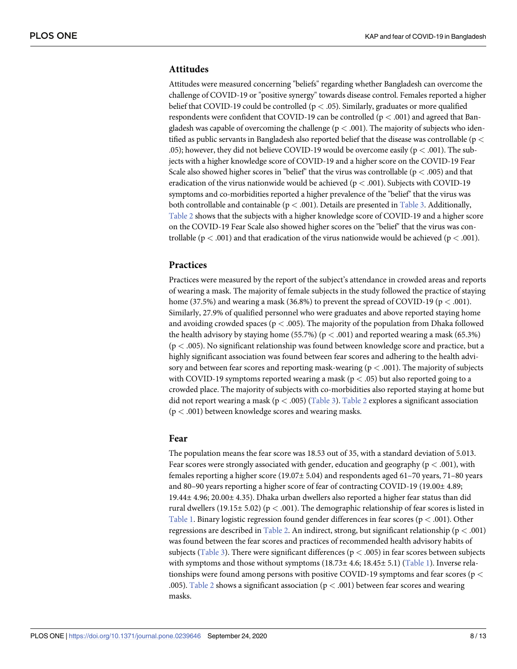# **Attitudes**

Attitudes were measured concerning "beliefs" regarding whether Bangladesh can overcome the challenge of COVID-19 or "positive synergy" towards disease control. Females reported a higher belief that COVID-19 could be controlled (p *<* .05). Similarly, graduates or more qualified respondents were confident that COVID-19 can be controlled (p *<* .001) and agreed that Bangladesh was capable of overcoming the challenge (p *<* .001). The majority of subjects who identified as public servants in Bangladesh also reported belief that the disease was controllable (p *<* .05); however, they did not believe COVID-19 would be overcome easily (p *<* .001). The subjects with a higher knowledge score of COVID-19 and a higher score on the COVID-19 Fear Scale also showed higher scores in "belief" that the virus was controllable (p *<* .005) and that eradication of the virus nationwide would be achieved (p *<* .001). Subjects with COVID-19 symptoms and co-morbidities reported a higher prevalence of the "belief" that the virus was both controllable and containable (p *<* .001). Details are presented in Table 3. Additionally, Table 2 shows that the subjects with a higher knowledge score of COVID-19 and a higher score on the COVID-19 Fear Scale also showed higher scores on the "belief" that the virus was controllable (p *<* .001) and that eradication of the virus nationwide would be achieved (p *<* .001).

### **Practices**

Practices were measured by the report of the subject's attendance in crowded areas and reports of wearing a mask. The majority of female subjects in the study followed the practice of staying home (37.5%) and wearing a mask (36.8%) to prevent the spread of COVID-19 (p *<* .001). Similarly, 27.9% of qualified personnel who were graduates and above reported staying home and avoiding crowded spaces (p *<* .005). The majority of the population from Dhaka followed the health advisory by staying home (55.7%) ( $p < .001$ ) and reported wearing a mask (65.3%) (p *<* .005). No significant relationship was found between knowledge score and practice, but a highly significant association was found between fear scores and adhering to the health advisory and between fear scores and reporting mask-wearing ( $p < .001$ ). The majority of subjects with COVID-19 symptoms reported wearing a mask (p *<* .05) but also reported going to a crowded place. The majority of subjects with co-morbidities also reported staying at home but did not report wearing a mask (p *<* .005) (Table 3). Table 2 explores a significant association (p *<* .001) between knowledge scores and wearing masks.

### **Fear**

The population means the fear score was 18.53 out of 35, with a standard deviation of 5.013. Fear scores were strongly associated with gender, education and geography (p *<* .001), with females reporting a higher score  $(19.07\pm 5.04)$  and respondents aged 61–70 years, 71–80 years and 80–90 years reporting a higher score of fear of contracting COVID-19 (19.00± 4.89; 19.44± 4.96; 20.00± 4.35). Dhaka urban dwellers also reported a higher fear status than did rural dwellers (19.15± 5.02) (p *<* .001). The demographic relationship of fear scores is listed in Table 1. Binary logistic regression found gender differences in fear scores (p *<* .001). Other regressions are described in Table 2. An indirect, strong, but significant relationship (p *<* .001) was found between the fear scores and practices of recommended health advisory habits of subjects (Table 3). There were significant differences (p *<* .005) in fear scores between subjects with symptoms and those without symptoms  $(18.73 \pm 4.6; 18.45 \pm 5.1)$  (Table 1). Inverse relationships were found among persons with positive COVID-19 symptoms and fear scores (p *<* .005). Table 2 shows a significant association (p *<* .001) between fear scores and wearing masks.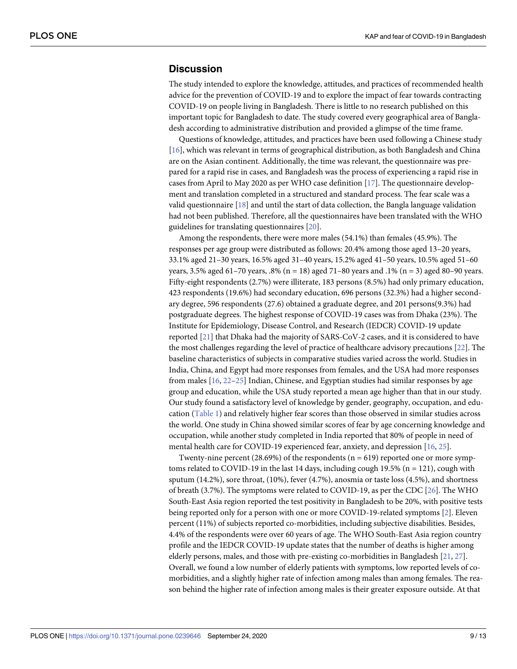# **Discussion**

The study intended to explore the knowledge, attitudes, and practices of recommended health advice for the prevention of COVID-19 and to explore the impact of fear towards contracting COVID-19 on people living in Bangladesh. There is little to no research published on this important topic for Bangladesh to date. The study covered every geographical area of Bangladesh according to administrative distribution and provided a glimpse of the time frame.

Questions of knowledge, attitudes, and practices have been used following a Chinese study [16], which was relevant in terms of geographical distribution, as both Bangladesh and China are on the Asian continent. Additionally, the time was relevant, the questionnaire was prepared for a rapid rise in cases, and Bangladesh was the process of experiencing a rapid rise in cases from April to May 2020 as per WHO case definition [17]. The questionnaire development and translation completed in a structured and standard process. The fear scale was a valid questionnaire [18] and until the start of data collection, the Bangla language validation had not been published. Therefore, all the questionnaires have been translated with the WHO guidelines for translating questionnaires [20].

Among the respondents, there were more males (54.1%) than females (45.9%). The responses per age group were distributed as follows: 20.4% among those aged 13–20 years, 33.1% aged 21–30 years, 16.5% aged 31–40 years, 15.2% aged 41–50 years, 10.5% aged 51–60 years,  $3.5\%$  aged  $61-70$  years,  $.8\%$  (n = 18) aged  $71-80$  years and  $.1\%$  (n = 3) aged 80-90 years. Fifty-eight respondents (2.7%) were illiterate, 183 persons (8.5%) had only primary education, 423 respondents (19.6%) had secondary education, 696 persons (32.3%) had a higher secondary degree, 596 respondents (27.6) obtained a graduate degree, and 201 persons(9.3%) had postgraduate degrees. The highest response of COVID-19 cases was from Dhaka (23%). The Institute for Epidemiology, Disease Control, and Research (IEDCR) COVID-19 update reported [21] that Dhaka had the majority of SARS-CoV-2 cases, and it is considered to have the most challenges regarding the level of practice of healthcare advisory precautions [22]. The baseline characteristics of subjects in comparative studies varied across the world. Studies in India, China, and Egypt had more responses from females, and the USA had more responses from males [16, 22–25] Indian, Chinese, and Egyptian studies had similar responses by age group and education, while the USA study reported a mean age higher than that in our study. Our study found a satisfactory level of knowledge by gender, geography, occupation, and education (Table 1) and relatively higher fear scores than those observed in similar studies across the world. One study in China showed similar scores of fear by age concerning knowledge and occupation, while another study completed in India reported that 80% of people in need of mental health care for COVID-19 experienced fear, anxiety, and depression [16, 25].

Twenty-nine percent (28.69%) of the respondents ( $n = 619$ ) reported one or more symptoms related to COVID-19 in the last 14 days, including cough 19.5% (n = 121), cough with sputum (14.2%), sore throat, (10%), fever (4.7%), anosmia or taste loss (4.5%), and shortness of breath (3.7%). The symptoms were related to COVID-19, as per the CDC [26]. The WHO South-East Asia region reported the test positivity in Bangladesh to be 20%, with positive tests being reported only for a person with one or more COVID-19-related symptoms [2]. Eleven percent (11%) of subjects reported co-morbidities, including subjective disabilities. Besides, 4.4% of the respondents were over 60 years of age. The WHO South-East Asia region country profile and the IEDCR COVID-19 update states that the number of deaths is higher among elderly persons, males, and those with pre-existing co-morbidities in Bangladesh [21, 27]. Overall, we found a low number of elderly patients with symptoms, low reported levels of comorbidities, and a slightly higher rate of infection among males than among females. The reason behind the higher rate of infection among males is their greater exposure outside. At that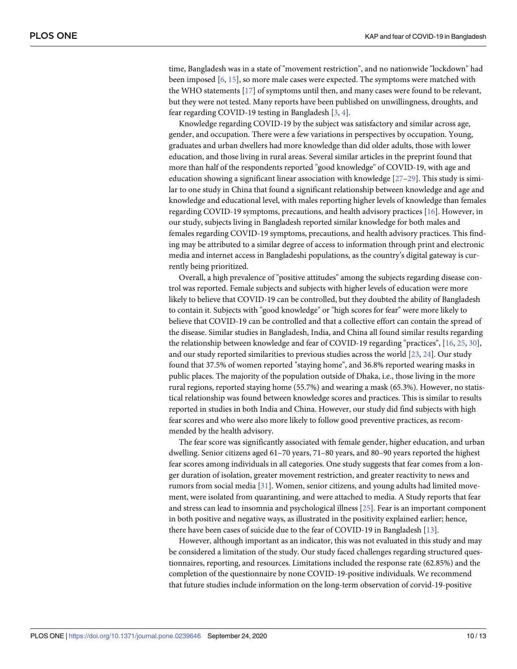time, Bangladesh was in a state of "movement restriction", and no nationwide "lockdown" had been imposed [6, 15], so more male cases were expected. The symptoms were matched with the WHO statements [17] of symptoms until then, and many cases were found to be relevant, but they were not tested. Many reports have been published on unwillingness, droughts, and fear regarding COVID-19 testing in Bangladesh [3, 4].

Knowledge regarding COVID-19 by the subject was satisfactory and similar across age, gender, and occupation. There were a few variations in perspectives by occupation. Young, graduates and urban dwellers had more knowledge than did older adults, those with lower education, and those living in rural areas. Several similar articles in the preprint found that more than half of the respondents reported "good knowledge" of COVID-19, with age and education showing a significant linear association with knowledge  $[27-29]$ . This study is similar to one study in China that found a significant relationship between knowledge and age and knowledge and educational level, with males reporting higher levels of knowledge than females regarding COVID-19 symptoms, precautions, and health advisory practices [16]. However, in our study, subjects living in Bangladesh reported similar knowledge for both males and females regarding COVID-19 symptoms, precautions, and health advisory practices. This finding may be attributed to a similar degree of access to information through print and electronic media and internet access in Bangladeshi populations, as the country's digital gateway is currently being prioritized.

Overall, a high prevalence of "positive attitudes" among the subjects regarding disease control was reported. Female subjects and subjects with higher levels of education were more likely to believe that COVID-19 can be controlled, but they doubted the ability of Bangladesh to contain it. Subjects with "good knowledge" or "high scores for fear" were more likely to believe that COVID-19 can be controlled and that a collective effort can contain the spread of the disease. Similar studies in Bangladesh, India, and China all found similar results regarding the relationship between knowledge and fear of COVID-19 regarding "practices", [16, 25, 30], and our study reported similarities to previous studies across the world [23, 24]. Our study found that 37.5% of women reported "staying home", and 36.8% reported wearing masks in public places. The majority of the population outside of Dhaka, i.e., those living in the more rural regions, reported staying home (55.7%) and wearing a mask (65.3%). However, no statistical relationship was found between knowledge scores and practices. This is similar to results reported in studies in both India and China. However, our study did find subjects with high fear scores and who were also more likely to follow good preventive practices, as recommended by the health advisory.

The fear score was significantly associated with female gender, higher education, and urban dwelling. Senior citizens aged 61–70 years, 71–80 years, and 80–90 years reported the highest fear scores among individuals in all categories. One study suggests that fear comes from a longer duration of isolation, greater movement restriction, and greater reactivity to news and rumors from social media [31]. Women, senior citizens, and young adults had limited movement, were isolated from quarantining, and were attached to media. A Study reports that fear and stress can lead to insomnia and psychological illness [25]. Fear is an important component in both positive and negative ways, as illustrated in the positivity explained earlier; hence, there have been cases of suicide due to the fear of COVID-19 in Bangladesh [13].

However, although important as an indicator, this was not evaluated in this study and may be considered a limitation of the study. Our study faced challenges regarding structured questionnaires, reporting, and resources. Limitations included the response rate (62.85%) and the completion of the questionnaire by none COVID-19-positive individuals. We recommend that future studies include information on the long-term observation of corvid-19-positive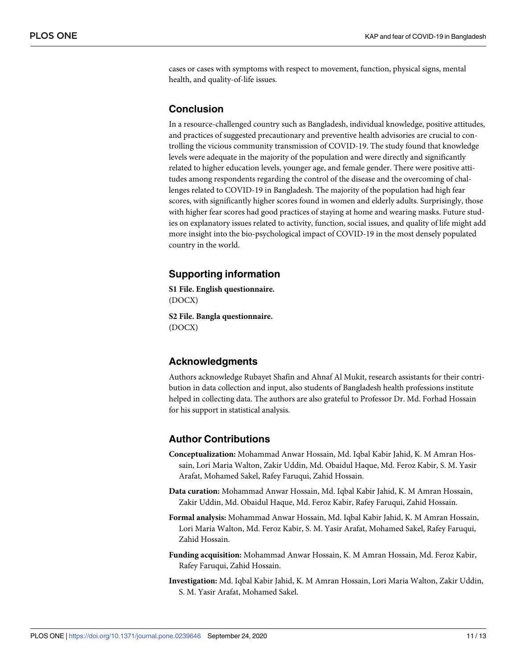cases or cases with symptoms with respect to movement, function, physical signs, mental health, and quality-of-life issues.

# **Conclusion**

In a resource-challenged country such as Bangladesh, individual knowledge, positive attitudes, and practices of suggested precautionary and preventive health advisories are crucial to controlling the vicious community transmission of COVID-19. The study found that knowledge levels were adequate in the majority of the population and were directly and significantly related to higher education levels, younger age, and female gender. There were positive attitudes among respondents regarding the control of the disease and the overcoming of challenges related to COVID-19 in Bangladesh. The majority of the population had high fear scores, with significantly higher scores found in women and elderly adults. Surprisingly, those with higher fear scores had good practices of staying at home and wearing masks. Future studies on explanatory issues related to activity, function, social issues, and quality of life might add more insight into the bio-psychological impact of COVID-19 in the most densely populated country in the world.

# **Supporting information**

**S1 [File.](http://www.plosone.org/article/fetchSingleRepresentation.action?uri=info:doi/10.1371/journal.pone.0239646.s001) English questionnaire.** (DOCX)

**S2 [File.](http://www.plosone.org/article/fetchSingleRepresentation.action?uri=info:doi/10.1371/journal.pone.0239646.s002) Bangla questionnaire.** (DOCX)

# **Acknowledgments**

Authors acknowledge Rubayet Shafin and Ahnaf Al Mukit, research assistants for their contribution in data collection and input, also students of Bangladesh health professions institute helped in collecting data. The authors are also grateful to Professor Dr. Md. Forhad Hossain for his support in statistical analysis.

# **Author Contributions**

- **Conceptualization:** Mohammad Anwar Hossain, Md. Iqbal Kabir Jahid, K. M Amran Hossain, Lori Maria Walton, Zakir Uddin, Md. Obaidul Haque, Md. Feroz Kabir, S. M. Yasir Arafat, Mohamed Sakel, Rafey Faruqui, Zahid Hossain.
- **Data curation:** Mohammad Anwar Hossain, Md. Iqbal Kabir Jahid, K. M Amran Hossain, Zakir Uddin, Md. Obaidul Haque, Md. Feroz Kabir, Rafey Faruqui, Zahid Hossain.
- **Formal analysis:** Mohammad Anwar Hossain, Md. Iqbal Kabir Jahid, K. M Amran Hossain, Lori Maria Walton, Md. Feroz Kabir, S. M. Yasir Arafat, Mohamed Sakel, Rafey Faruqui, Zahid Hossain.
- **Funding acquisition:** Mohammad Anwar Hossain, K. M Amran Hossain, Md. Feroz Kabir, Rafey Faruqui, Zahid Hossain.
- **Investigation:** Md. Iqbal Kabir Jahid, K. M Amran Hossain, Lori Maria Walton, Zakir Uddin, S. M. Yasir Arafat, Mohamed Sakel.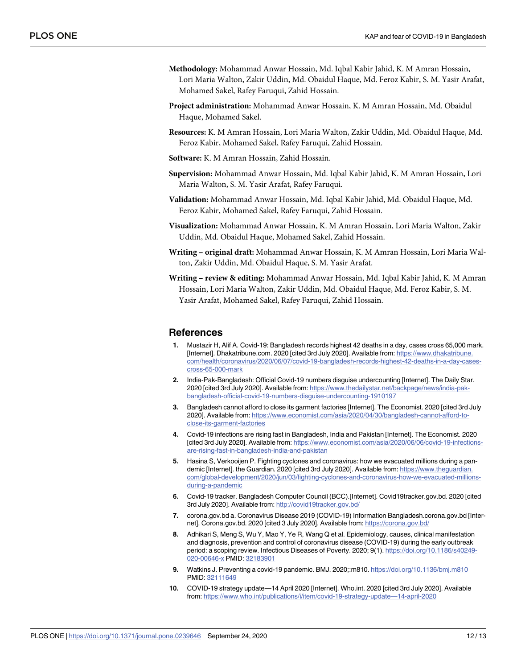- **Methodology:** Mohammad Anwar Hossain, Md. Iqbal Kabir Jahid, K. M Amran Hossain, Lori Maria Walton, Zakir Uddin, Md. Obaidul Haque, Md. Feroz Kabir, S. M. Yasir Arafat, Mohamed Sakel, Rafey Faruqui, Zahid Hossain.
- **Project administration:** Mohammad Anwar Hossain, K. M Amran Hossain, Md. Obaidul Haque, Mohamed Sakel.
- **Resources:** K. M Amran Hossain, Lori Maria Walton, Zakir Uddin, Md. Obaidul Haque, Md. Feroz Kabir, Mohamed Sakel, Rafey Faruqui, Zahid Hossain.
- **Software:** K. M Amran Hossain, Zahid Hossain.
- **Supervision:** Mohammad Anwar Hossain, Md. Iqbal Kabir Jahid, K. M Amran Hossain, Lori Maria Walton, S. M. Yasir Arafat, Rafey Faruqui.
- **Validation:** Mohammad Anwar Hossain, Md. Iqbal Kabir Jahid, Md. Obaidul Haque, Md. Feroz Kabir, Mohamed Sakel, Rafey Faruqui, Zahid Hossain.
- **Visualization:** Mohammad Anwar Hossain, K. M Amran Hossain, Lori Maria Walton, Zakir Uddin, Md. Obaidul Haque, Mohamed Sakel, Zahid Hossain.
- **Writing – original draft:** Mohammad Anwar Hossain, K. M Amran Hossain, Lori Maria Walton, Zakir Uddin, Md. Obaidul Haque, S. M. Yasir Arafat.
- **Writing – review & editing:** Mohammad Anwar Hossain, Md. Iqbal Kabir Jahid, K. M Amran Hossain, Lori Maria Walton, Zakir Uddin, Md. Obaidul Haque, Md. Feroz Kabir, S. M. Yasir Arafat, Mohamed Sakel, Rafey Faruqui, Zahid Hossain.

#### **References**

- **1.** Mustazir H, Alif A. Covid-19: Bangladesh records highest 42 deaths in a day, cases cross 65,000 mark. [Internet]. Dhakatribune.com. 2020 [cited 3rd July 2020]. Available from: [https://www.dhakatribune.](https://www.dhakatribune.com/health/coronavirus/2020/06/07/covid-19-bangladesh-records-highest-42-deaths-in-a-day-cases-cross-65-000-mark) [com/health/coronavirus/2020/06/07/covid-19-bangladesh-records-highest-42-deaths-in-a-day-cases](https://www.dhakatribune.com/health/coronavirus/2020/06/07/covid-19-bangladesh-records-highest-42-deaths-in-a-day-cases-cross-65-000-mark)[cross-65-000-mark](https://www.dhakatribune.com/health/coronavirus/2020/06/07/covid-19-bangladesh-records-highest-42-deaths-in-a-day-cases-cross-65-000-mark)
- **2.** India-Pak-Bangladesh: Official Covid-19 numbers disguise undercounting [Internet]. The Daily Star. 2020 [cited 3rd July 2020]. Available from: [https://www.thedailystar.net/backpage/news/india-pak](https://www.thedailystar.net/backpage/news/india-pak-bangladesh-official-covid-19-numbers-disguise-undercounting-1910197)[bangladesh-official-covid-19-numbers-disguise-undercounting-1910197](https://www.thedailystar.net/backpage/news/india-pak-bangladesh-official-covid-19-numbers-disguise-undercounting-1910197)
- **3.** Bangladesh cannot afford to close its garment factories [Internet]. The Economist. 2020 [cited 3rd July 2020]. Available from: [https://www.economist.com/asia/2020/04/30/bangladesh-cannot-afford-to](https://www.economist.com/asia/2020/04/30/bangladesh-cannot-afford-to-close-its-garment-factories)[close-its-garment-factories](https://www.economist.com/asia/2020/04/30/bangladesh-cannot-afford-to-close-its-garment-factories)
- **4.** Covid-19 infections are rising fast in Bangladesh, India and Pakistan [Internet]. The Economist. 2020 [cited 3rd July 2020]. Available from: [https://www.economist.com/asia/2020/06/06/covid-19-infections](https://www.economist.com/asia/2020/06/06/covid-19-infections-are-rising-fast-in-bangladesh-india-and-pakistan)[are-rising-fast-in-bangladesh-india-and-pakistan](https://www.economist.com/asia/2020/06/06/covid-19-infections-are-rising-fast-in-bangladesh-india-and-pakistan)
- **5.** Hasina S, Verkooijen P. Fighting cyclones and coronavirus: how we evacuated millions during a pandemic [Internet]. the Guardian. 2020 [cited 3rd July 2020]. Available from: [https://www.theguardian.](https://www.theguardian.com/global-development/2020/jun/03/fighting-cyclones-and-coronavirus-how-we-evacuated-millions-during-a-pandemic) [com/global-development/2020/jun/03/fighting-cyclones-and-coronavirus-how-we-evacuated-millions](https://www.theguardian.com/global-development/2020/jun/03/fighting-cyclones-and-coronavirus-how-we-evacuated-millions-during-a-pandemic)[during-a-pandemic](https://www.theguardian.com/global-development/2020/jun/03/fighting-cyclones-and-coronavirus-how-we-evacuated-millions-during-a-pandemic)
- **6.** Covid-19 tracker. Bangladesh Computer Council (BCC).[Internet]. Covid19tracker.gov.bd. 2020 [cited 3rd July 2020]. Available from: <http://covid19tracker.gov.bd/>
- **7.** corona.gov.bd a. Coronavirus Disease 2019 (COVID-19) Information Bangladesh.corona.gov.bd [Internet]. Corona.gov.bd. 2020 [cited 3 July 2020]. Available from: <https://corona.gov.bd/>
- **8.** Adhikari S, Meng S, Wu Y, Mao Y, Ye R, Wang Q et al. Epidemiology, causes, clinical manifestation and diagnosis, prevention and control of coronavirus disease (COVID-19) during the early outbreak period: a scoping review. Infectious Diseases of Poverty. 2020; 9(1). [https://doi.org/10.1186/s40249-](https://doi.org/10.1186/s40249-020-00646-x) [020-00646-x](https://doi.org/10.1186/s40249-020-00646-x) PMID: [32183901](http://www.ncbi.nlm.nih.gov/pubmed/32183901)
- **9.** Watkins J. Preventing a covid-19 pandemic. BMJ. 2020;:m810. <https://doi.org/10.1136/bmj.m810> PMID: [32111649](http://www.ncbi.nlm.nih.gov/pubmed/32111649)
- **10.** COVID-19 strategy update—14 April 2020 [Internet]. Who.int. 2020 [cited 3rd July 2020]. Available from: [https://www.who.int/publications/i/item/covid-19-strategy-update—14-april-2020](https://www.who.int/publications/i/item/covid-19-strategy-update---14-april-2020)